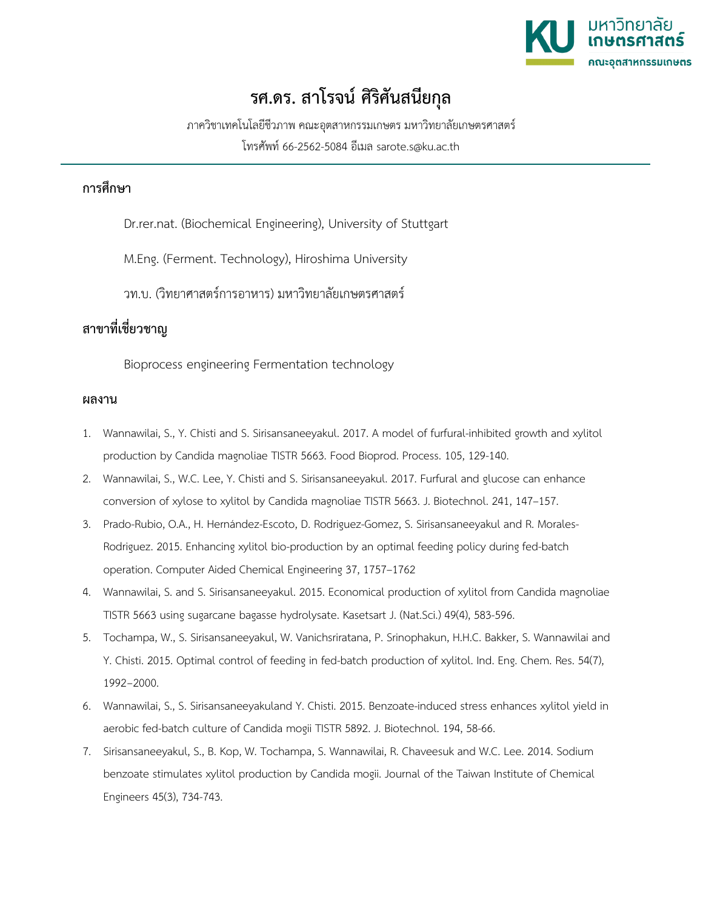

## **รศ.ดร. สาโรจน ศิริศันสนียกุล**

ภาควิชาเทคโนโลยีชีวภาพ คณะอุตสาหกรรมเกษตร มหาวิทยาลัยเกษตรศาสตร

โทรศัพท 66-2562-5084 อีเมล sarote.s@ku.ac.th

## **การศึกษา**

Dr.rer.nat. (Biochemical Engineering), University of Stuttgart

M.Eng. (Ferment. Technology), Hiroshima University

วท.บ. (วิทยาศาสตรการอาหาร) มหาวิทยาลัยเกษตรศาสตร

## **สาขาที่เชี่ยวชาญ**

Bioprocess engineering Fermentation technology

## **ผลงาน**

- 1. Wannawilai, S., Y. Chisti and S. Sirisansaneeyakul. 2017. A model of furfural-inhibited growth and xylitol production by Candida magnoliae TISTR 5663. Food Bioprod. Process. 105, 129-140.
- 2. Wannawilai, S., W.C. Lee, Y. Chisti and S. Sirisansaneeyakul. 2017. Furfural and glucose can enhance conversion of xylose to xylitol by Candida magnoliae TISTR 5663. J. Biotechnol. 241, 147–157.
- 3. Prado-Rubio, O.A., H. Hernández-Escoto, D. Rodriguez-Gomez, S. Sirisansaneeyakul and R. Morales-Rodriguez. 2015. Enhancing xylitol bio-production by an optimal feeding policy during fed-batch operation. Computer Aided Chemical Engineering 37, 1757–1762
- 4. Wannawilai, S. and S. Sirisansaneeyakul. 2015. Economical production of xylitol from Candida magnoliae TISTR 5663 using sugarcane bagasse hydrolysate. Kasetsart J. (Nat.Sci.) 49(4), 583-596.
- 5. Tochampa, W., S. Sirisansaneeyakul, W. Vanichsriratana, P. Srinophakun, H.H.C. Bakker, S. Wannawilai and Y. Chisti. 2015. Optimal control of feeding in fed-batch production of xylitol. Ind. Eng. Chem. Res. 54(7), 1992−2000.
- 6. Wannawilai, S., S. Sirisansaneeyakuland Y. Chisti. 2015. Benzoate-induced stress enhances xylitol yield in aerobic fed-batch culture of Candida mogii TISTR 5892. J. Biotechnol. 194, 58-66.
- 7. Sirisansaneeyakul, S., B. Kop, W. Tochampa, S. Wannawilai, R. Chaveesuk and W.C. Lee. 2014. Sodium benzoate stimulates xylitol production by Candida mogii. Journal of the Taiwan Institute of Chemical Engineers 45(3), 734-743.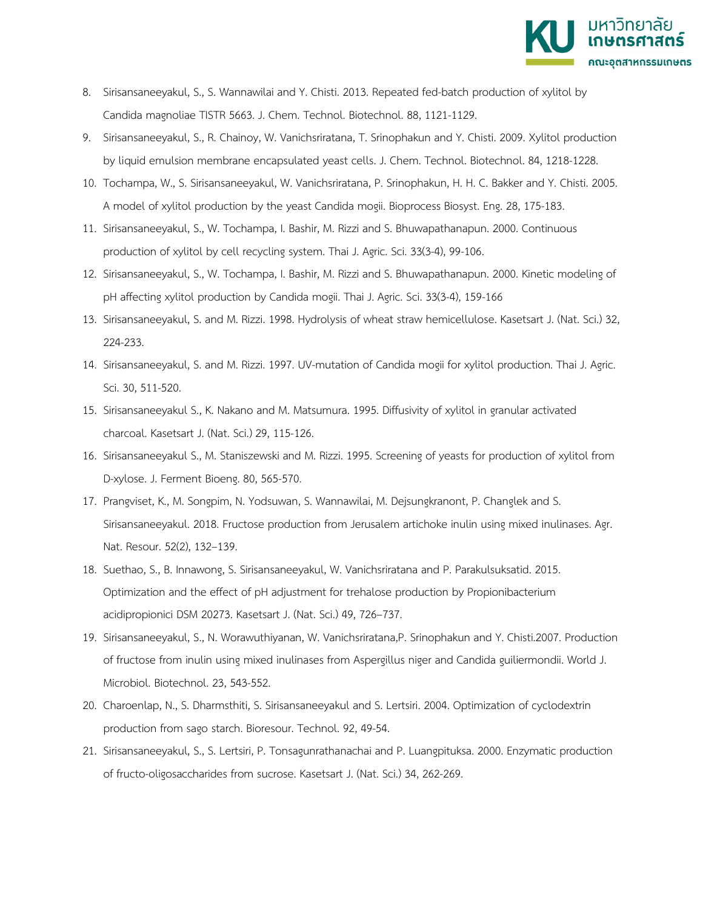

- 8. Sirisansaneeyakul, S., S. Wannawilai and Y. Chisti. 2013. Repeated fed-batch production of xylitol by Candida magnoliae TISTR 5663. J. Chem. Technol. Biotechnol. 88, 1121-1129.
- 9. Sirisansaneeyakul, S., R. Chainoy, W. Vanichsriratana, T. Srinophakun and Y. Chisti. 2009. Xylitol production by liquid emulsion membrane encapsulated yeast cells. J. Chem. Technol. Biotechnol. 84, 1218-1228.
- 10. Tochampa, W., S. Sirisansaneeyakul, W. Vanichsriratana, P. Srinophakun, H. H. C. Bakker and Y. Chisti. 2005. A model of xylitol production by the yeast Candida mogii. Bioprocess Biosyst. Eng. 28, 175-183.
- 11. Sirisansaneeyakul, S., W. Tochampa, I. Bashir, M. Rizzi and S. Bhuwapathanapun. 2000. Continuous production of xylitol by cell recycling system. Thai J. Agric. Sci. 33(3-4), 99-106.
- 12. Sirisansaneeyakul, S., W. Tochampa, I. Bashir, M. Rizzi and S. Bhuwapathanapun. 2000. Kinetic modeling of pH affecting xylitol production by Candida mogii. Thai J. Agric. Sci. 33(3-4), 159-166
- 13. Sirisansaneeyakul, S. and M. Rizzi. 1998. Hydrolysis of wheat straw hemicellulose. Kasetsart J. (Nat. Sci.) 32, 224-233.
- 14. Sirisansaneeyakul, S. and M. Rizzi. 1997. UV-mutation of Candida mogii for xylitol production. Thai J. Agric. Sci. 30, 511-520.
- 15. Sirisansaneeyakul S., K. Nakano and M. Matsumura. 1995. Diffusivity of xylitol in granular activated charcoal. Kasetsart J. (Nat. Sci.) 29, 115-126.
- 16. Sirisansaneeyakul S., M. Staniszewski and M. Rizzi. 1995. Screening of yeasts for production of xylitol from D-xylose. J. Ferment Bioeng. 80, 565-570.
- 17. Prangviset, K., M. Songpim, N. Yodsuwan, S. Wannawilai, M. Dejsungkranont, P. Changlek and S. Sirisansaneeyakul. 2018. Fructose production from Jerusalem artichoke inulin using mixed inulinases. Agr. Nat. Resour. 52(2), 132–139.
- 18. Suethao, S., B. Innawong, S. Sirisansaneeyakul, W. Vanichsriratana and P. Parakulsuksatid. 2015. Optimization and the effect of pH adjustment for trehalose production by Propionibacterium acidipropionici DSM 20273. Kasetsart J. (Nat. Sci.) 49, 726–737.
- 19. Sirisansaneeyakul, S., N. Worawuthiyanan, W. Vanichsriratana,P. Srinophakun and Y. Chisti.2007. Production of fructose from inulin using mixed inulinases from Aspergillus niger and Candida guiliermondii. World J. Microbiol. Biotechnol. 23, 543-552.
- 20. Charoenlap, N., S. Dharmsthiti, S. Sirisansaneeyakul and S. Lertsiri. 2004. Optimization of cyclodextrin production from sago starch. Bioresour. Technol. 92, 49-54.
- 21. Sirisansaneeyakul, S., S. Lertsiri, P. Tonsagunrathanachai and P. Luangpituksa. 2000. Enzymatic production of fructo-oligosaccharides from sucrose. Kasetsart J. (Nat. Sci.) 34, 262-269.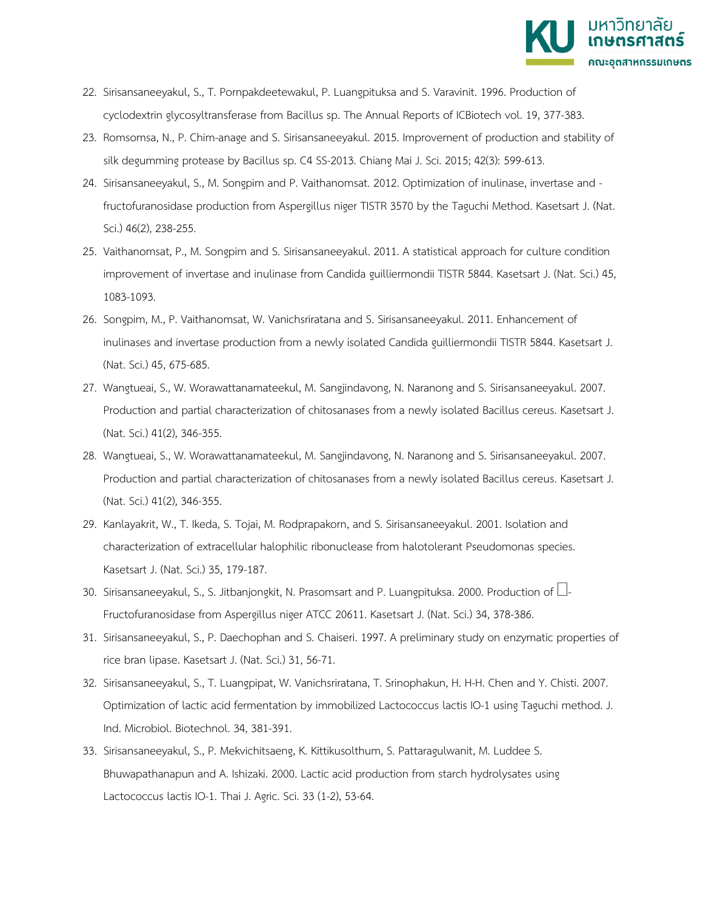

- 22. Sirisansaneeyakul, S., T. Pornpakdeetewakul, P. Luangpituksa and S. Varavinit. 1996. Production of cyclodextrin glycosyltransferase from Bacillus sp. The Annual Reports of ICBiotech vol. 19, 377-383.
- 23. Romsomsa, N., P. Chim-anage and S. Sirisansaneeyakul. 2015. Improvement of production and stability of silk degumming protease by Bacillus sp. C4 SS-2013. Chiang Mai J. Sci. 2015; 42(3): 599-613.
- 24. Sirisansaneeyakul, S., M. Songpim and P. Vaithanomsat. 2012. Optimization of inulinase, invertase and fructofuranosidase production from Aspergillus niger TISTR 3570 by the Taguchi Method. Kasetsart J. (Nat. Sci.) 46(2), 238-255.
- 25. Vaithanomsat, P., M. Songpim and S. Sirisansaneeyakul. 2011. A statistical approach for culture condition improvement of invertase and inulinase from Candida guilliermondii TISTR 5844. Kasetsart J. (Nat. Sci.) 45, 1083-1093.
- 26. Songpim, M., P. Vaithanomsat, W. Vanichsriratana and S. Sirisansaneeyakul. 2011. Enhancement of inulinases and invertase production from a newly isolated Candida guilliermondii TISTR 5844. Kasetsart J. (Nat. Sci.) 45, 675-685.
- 27. Wangtueai, S., W. Worawattanamateekul, M. Sangjindavong, N. Naranong and S. Sirisansaneeyakul. 2007. Production and partial characterization of chitosanases from a newly isolated Bacillus cereus. Kasetsart J. (Nat. Sci.) 41(2), 346-355.
- 28. Wangtueai, S., W. Worawattanamateekul, M. Sangjindavong, N. Naranong and S. Sirisansaneeyakul. 2007. Production and partial characterization of chitosanases from a newly isolated Bacillus cereus. Kasetsart J. (Nat. Sci.) 41(2), 346-355.
- 29. Kanlayakrit, W., T. Ikeda, S. Tojai, M. Rodprapakorn, and S. Sirisansaneeyakul. 2001. Isolation and characterization of extracellular halophilic ribonuclease from halotolerant Pseudomonas species. Kasetsart J. (Nat. Sci.) 35, 179-187.
- 30. Sirisansaneeyakul, S., S. Jitbanjongkit, N. Prasomsart and P. Luangpituksa. 2000. Production of  $\Box$ -Fructofuranosidase from Aspergillus niger ATCC 20611. Kasetsart J. (Nat. Sci.) 34, 378-386.
- 31. Sirisansaneeyakul, S., P. Daechophan and S. Chaiseri. 1997. A preliminary study on enzymatic properties of rice bran lipase. Kasetsart J. (Nat. Sci.) 31, 56-71.
- 32. Sirisansaneeyakul, S., T. Luangpipat, W. Vanichsriratana, T. Srinophakun, H. H-H. Chen and Y. Chisti. 2007. Optimization of lactic acid fermentation by immobilized Lactococcus lactis IO-1 using Taguchi method. J. Ind. Microbiol. Biotechnol. 34, 381-391.
- 33. Sirisansaneeyakul, S., P. Mekvichitsaeng, K. Kittikusolthum, S. Pattaragulwanit, M. Luddee S. Bhuwapathanapun and A. Ishizaki. 2000. Lactic acid production from starch hydrolysates using Lactococcus lactis IO-1. Thai J. Agric. Sci. 33 (1-2), 53-64.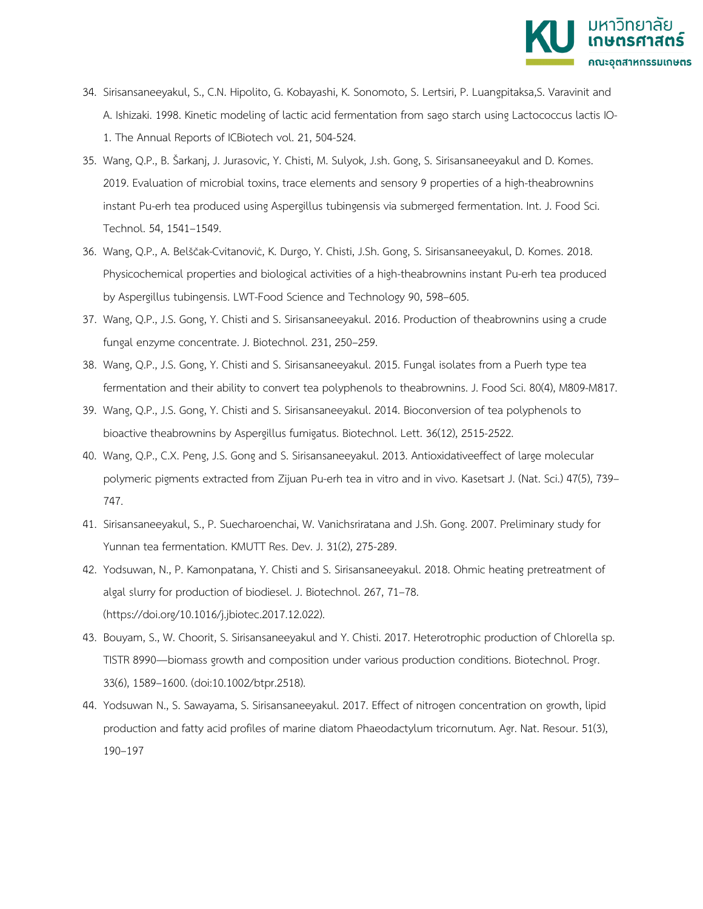

- 34. Sirisansaneeyakul, S., C.N. Hipolito, G. Kobayashi, K. Sonomoto, S. Lertsiri, P. Luangpitaksa,S. Varavinit and A. Ishizaki. 1998. Kinetic modeling of lactic acid fermentation from sago starch using Lactococcus lactis IO-1. The Annual Reports of ICBiotech vol. 21, 504-524.
- 35. Wang, Q.P., B. Šarkanj, J. Jurasovic, Y. Chisti, M. Sulyok, J.sh. Gong, S. Sirisansaneeyakul and D. Komes. 2019. Evaluation of microbial toxins, trace elements and sensory 9 properties of a high-theabrownins instant Pu-erh tea produced using Aspergillus tubingensis via submerged fermentation. Int. J. Food Sci. Technol. 54, 1541–1549.
- 36. Wang, Q.P., A. Belščak-Cvitanović, K. Durgo, Y. Chisti, J.Sh. Gong, S. Sirisansaneeyakul, D. Komes. 2018. Physicochemical properties and biological activities of a high-theabrownins instant Pu-erh tea produced by Aspergillus tubingensis. LWT-Food Science and Technology 90, 598–605.
- 37. Wang, Q.P., J.S. Gong, Y. Chisti and S. Sirisansaneeyakul. 2016. Production of theabrownins using a crude fungal enzyme concentrate. J. Biotechnol. 231, 250–259.
- 38. Wang, Q.P., J.S. Gong, Y. Chisti and S. Sirisansaneeyakul. 2015. Fungal isolates from a Puerh type tea fermentation and their ability to convert tea polyphenols to theabrownins. J. Food Sci. 80(4), M809-M817.
- 39. Wang, Q.P., J.S. Gong, Y. Chisti and S. Sirisansaneeyakul. 2014. Bioconversion of tea polyphenols to bioactive theabrownins by Aspergillus fumigatus. Biotechnol. Lett. 36(12), 2515-2522.
- 40. Wang, Q.P., C.X. Peng, J.S. Gong and S. Sirisansaneeyakul. 2013. Antioxidativeeffect of large molecular polymeric pigments extracted from Zijuan Pu-erh tea in vitro and in vivo. Kasetsart J. (Nat. Sci.) 47(5), 739– 747.
- 41. Sirisansaneeyakul, S., P. Suecharoenchai, W. Vanichsriratana and J.Sh. Gong. 2007. Preliminary study for Yunnan tea fermentation. KMUTT Res. Dev. J. 31(2), 275-289.
- 42. Yodsuwan, N., P. Kamonpatana, Y. Chisti and S. Sirisansaneeyakul. 2018. Ohmic heating pretreatment of algal slurry for production of biodiesel. J. Biotechnol. 267, 71–78. (https://doi.org/10.1016/j.jbiotec.2017.12.022).
- 43. Bouyam, S., W. Choorit, S. Sirisansaneeyakul and Y. Chisti. 2017. Heterotrophic production of Chlorella sp. TISTR 8990—biomass growth and composition under various production conditions. Biotechnol. Progr. 33(6), 1589–1600. (doi:10.1002/btpr.2518).
- 44. Yodsuwan N., S. Sawayama, S. Sirisansaneeyakul. 2017. Effect of nitrogen concentration on growth, lipid production and fatty acid profiles of marine diatom Phaeodactylum tricornutum. Agr. Nat. Resour. 51(3), 190–197